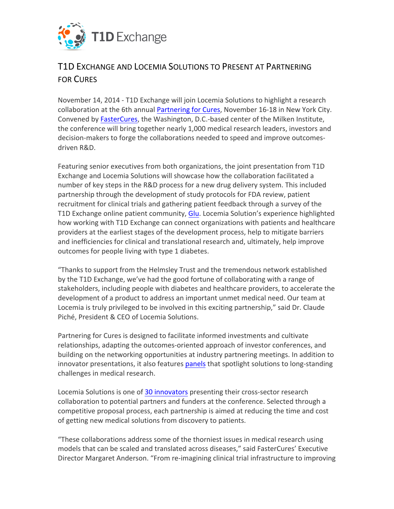

## T1D EXCHANGE AND LOCEMIA SOLUTIONS TO PRESENT AT PARTNERING **FOR CURES**

November 14, 2014 - T1D Exchange will join Locemia Solutions to highlight a research collaboration at the 6th annual Partnering for Cures, November 16-18 in New York City. Convened by FasterCures, the Washington, D.C.-based center of the Milken Institute, the conference will bring together nearly 1,000 medical research leaders, investors and decision-makers to forge the collaborations needed to speed and improve outcomesdriven R&D.

Featuring senior executives from both organizations, the joint presentation from T1D Exchange and Locemia Solutions will showcase how the collaboration facilitated a number of key steps in the R&D process for a new drug delivery system. This included partnership through the development of study protocols for FDA review, patient recruitment for clinical trials and gathering patient feedback through a survey of the T1D Exchange online patient community, Glu. Locemia Solution's experience highlighted how working with T1D Exchange can connect organizations with patients and healthcare providers at the earliest stages of the development process, help to mitigate barriers and inefficiencies for clinical and translational research and, ultimately, help improve outcomes for people living with type 1 diabetes.

"Thanks to support from the Helmsley Trust and the tremendous network established by the T1D Exchange, we've had the good fortune of collaborating with a range of stakeholders, including people with diabetes and healthcare providers, to accelerate the development of a product to address an important unmet medical need. Our team at Locemia is truly privileged to be involved in this exciting partnership," said Dr. Claude Piché, President & CEO of Locemia Solutions.

Partnering for Cures is designed to facilitate informed investments and cultivate relationships, adapting the outcomes-oriented approach of investor conferences, and building on the networking opportunities at industry partnering meetings. In addition to innovator presentations, it also features panels that spotlight solutions to long-standing challenges in medical research.

Locemia Solutions is one of 30 innovators presenting their cross-sector research collaboration to potential partners and funders at the conference. Selected through a competitive proposal process, each partnership is aimed at reducing the time and cost of getting new medical solutions from discovery to patients.

"These collaborations address some of the thorniest issues in medical research using models that can be scaled and translated across diseases," said FasterCures' Executive Director Margaret Anderson. "From re-imagining clinical trial infrastructure to improving